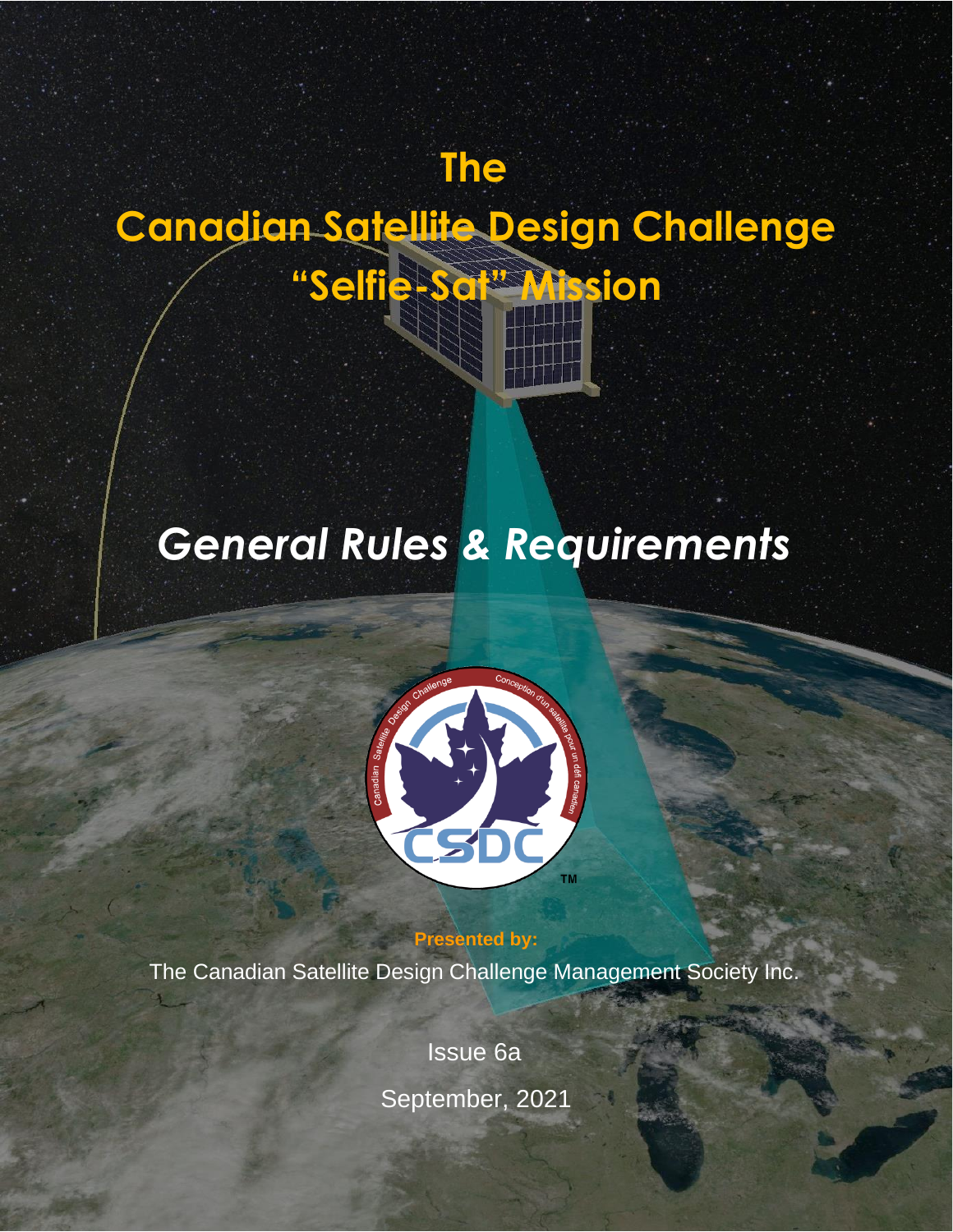# **Canadian Satellite Design Challenge "Selfie-Sat" Mission**

**The**

# *General Rules & Requirements*



**Presented by:** The Canadian Satellite Design Challenge Management Society Inc.

> Issue 6a September, 2021

Canadian Satellite Design Challenge General Rules & Rules & Republic Rules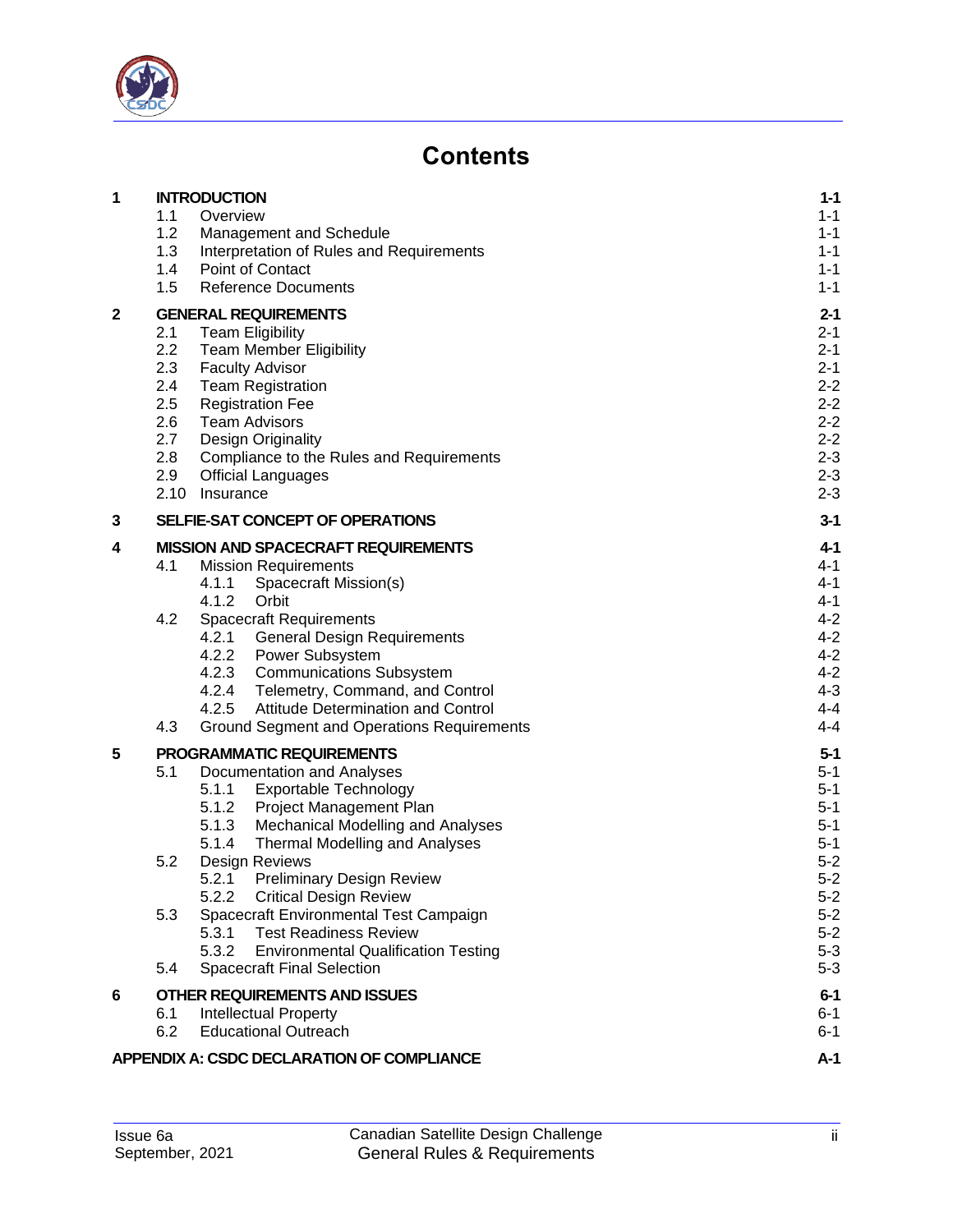

### **Contents**

| 1 |             | <b>INTRODUCTION</b>                                                                  | $1 - 1$            |
|---|-------------|--------------------------------------------------------------------------------------|--------------------|
|   | 1.1         | Overview                                                                             | $1 - 1$            |
|   | 1.2         | Management and Schedule                                                              | $1 - 1$            |
|   | 1.3         | Interpretation of Rules and Requirements                                             | $1 - 1$            |
|   | 1.4<br>1.5  | Point of Contact<br><b>Reference Documents</b>                                       | $1 - 1$<br>$1 - 1$ |
| 2 |             | <b>GENERAL REQUIREMENTS</b>                                                          | $2 - 1$            |
|   | 2.1         | <b>Team Eligibility</b>                                                              | $2 - 1$            |
|   | 2.2         | <b>Team Member Eligibility</b>                                                       | $2 - 1$            |
|   | 2.3         | <b>Faculty Advisor</b>                                                               | $2 - 1$            |
|   | 2.4         | <b>Team Registration</b>                                                             | $2 - 2$            |
|   | 2.5         | <b>Registration Fee</b>                                                              | $2 - 2$            |
|   | 2.6         | <b>Team Advisors</b>                                                                 | $2 - 2$            |
|   | 2.7         | <b>Design Originality</b>                                                            | $2 - 2$            |
|   | 2.8         | Compliance to the Rules and Requirements                                             | $2 - 3$            |
|   | 2.9<br>2.10 | <b>Official Languages</b><br>Insurance                                               | $2 - 3$<br>$2 - 3$ |
| 3 |             | SELFIE-SAT CONCEPT OF OPERATIONS                                                     | $3 - 1$            |
| 4 |             | <b>MISSION AND SPACECRAFT REQUIREMENTS</b>                                           | $4 - 1$            |
|   | 4.1         | <b>Mission Requirements</b>                                                          | 4-1                |
|   |             | 4.1.1<br>Spacecraft Mission(s)                                                       | 4-1                |
|   |             | 4.1.2<br>Orbit                                                                       | $4 - 1$            |
|   | 4.2         | <b>Spacecraft Requirements</b>                                                       | $4 - 2$            |
|   |             | 4.2.1<br><b>General Design Requirements</b>                                          | $4 - 2$            |
|   |             | 4.2.2<br><b>Power Subsystem</b>                                                      | $4 - 2$            |
|   |             | 4.2.3<br><b>Communications Subsystem</b><br>4.2.4<br>Telemetry, Command, and Control | $4 - 2$<br>$4 - 3$ |
|   |             | 4.2.5<br>Attitude Determination and Control                                          | $4 - 4$            |
|   | 4.3         | <b>Ground Segment and Operations Requirements</b>                                    | $4 - 4$            |
| 5 |             | PROGRAMMATIC REQUIREMENTS                                                            | $5-1$              |
|   | 5.1         | Documentation and Analyses                                                           | $5 - 1$            |
|   |             | 5.1.1<br><b>Exportable Technology</b>                                                | $5 - 1$            |
|   |             | <b>Project Management Plan</b><br>5.1.2                                              | $5 - 1$            |
|   |             | 5.1.3<br><b>Mechanical Modelling and Analyses</b>                                    | $5 - 1$            |
|   |             | 5.1.4<br><b>Thermal Modelling and Analyses</b>                                       | $5 - 1$            |
|   | 5.2         | Design Reviews<br>5.2.1<br><b>Preliminary Design Review</b>                          | $5 - 2$<br>$5 - 2$ |
|   |             | <b>Critical Design Review</b><br>5.2.2                                               | $5-2$              |
|   | 5.3         | Spacecraft Environmental Test Campaign                                               | $5 - 2$            |
|   |             | 5.3.1<br><b>Test Readiness Review</b>                                                | $5 - 2$            |
|   |             | 5.3.2<br><b>Environmental Qualification Testing</b>                                  | $5 - 3$            |
|   | 5.4         | <b>Spacecraft Final Selection</b>                                                    | $5 - 3$            |
| 6 |             | <b>OTHER REQUIREMENTS AND ISSUES</b>                                                 | $6-1$              |
|   | 6.1         | <b>Intellectual Property</b>                                                         | $6 - 1$            |
|   | 6.2         | <b>Educational Outreach</b>                                                          | $6 - 1$            |
|   |             | <b>APPENDIX A: CSDC DECLARATION OF COMPLIANCE</b>                                    | $A-1$              |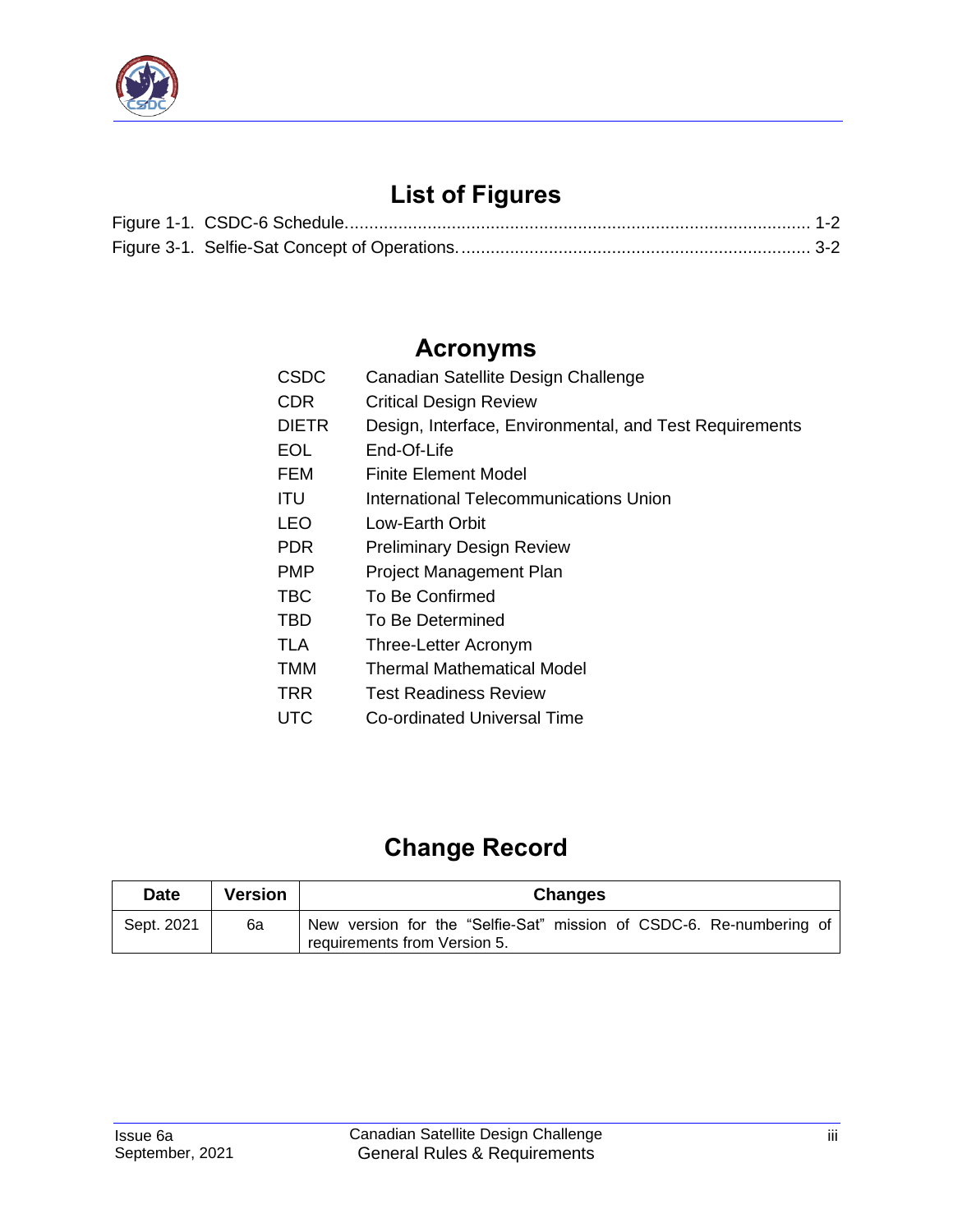

## **List of Figures**

### **Acronyms**

| CSDC  | Canadian Satellite Design Challenge                     |
|-------|---------------------------------------------------------|
| CDR   | <b>Critical Design Review</b>                           |
| DIETR | Design, Interface, Environmental, and Test Requirements |
| EOL   | End-Of-Life                                             |
| FEM   | Finite Element Model                                    |
| ITU   | <b>International Telecommunications Union</b>           |
| LEO   | Low-Earth Orbit                                         |
| PDR   | <b>Preliminary Design Review</b>                        |
| PMP   | Project Management Plan                                 |
| TBC   | To Be Confirmed                                         |
| TBD   | To Be Determined                                        |
| TLA   | Three-Letter Acronym                                    |
| TMM   | Thermal Mathematical Model                              |
| TRR   | <b>Test Readiness Review</b>                            |
| UTC   | Co-ordinated Universal Time                             |

## **Change Record**

| <b>Date</b> | <b>Version</b> | <b>Changes</b>                                                                                      |  |  |
|-------------|----------------|-----------------------------------------------------------------------------------------------------|--|--|
| Sept. 2021  | 6a             | New version for the "Selfie-Sat" mission of CSDC-6. Re-numbering of<br>requirements from Version 5. |  |  |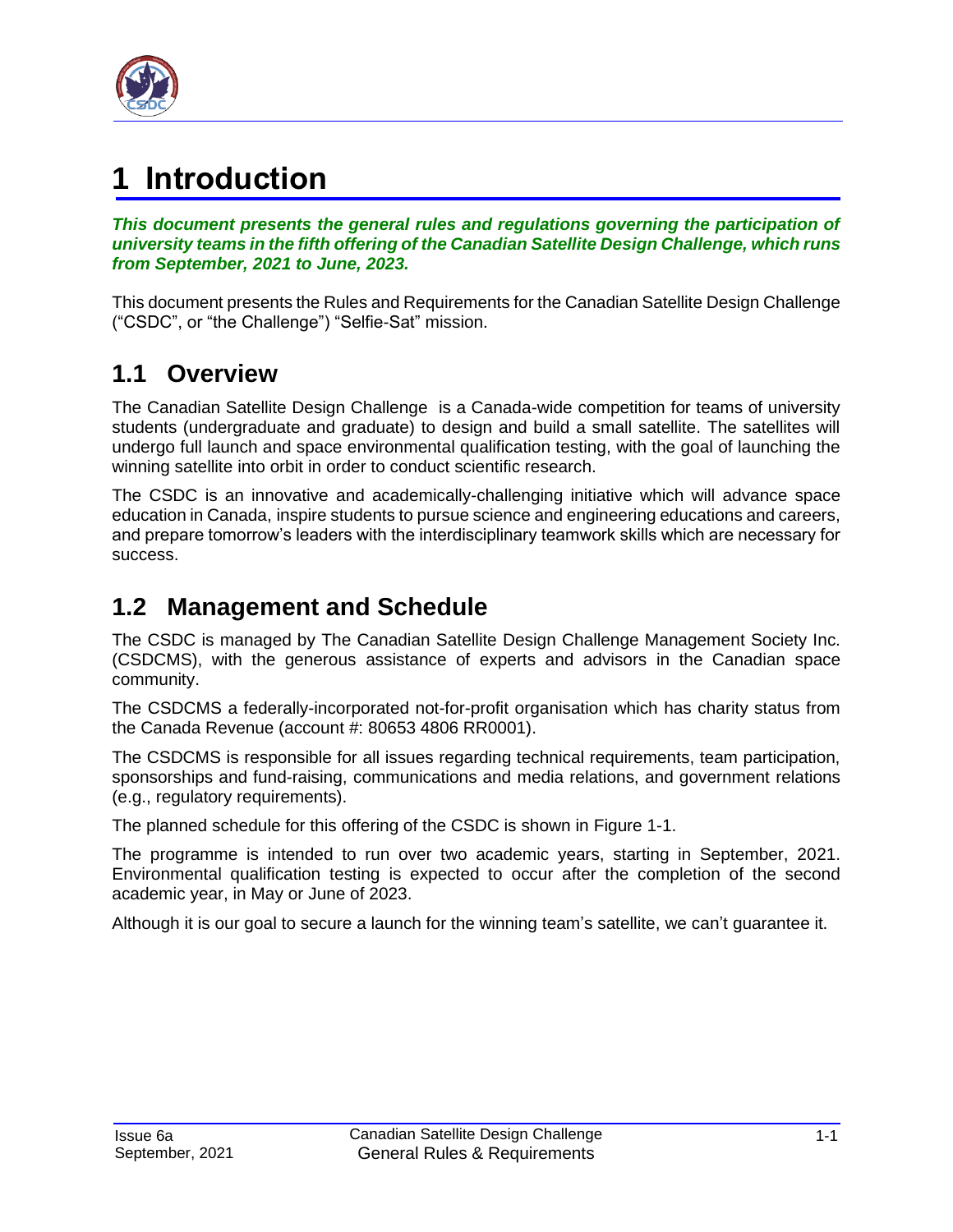

# <span id="page-3-0"></span>**1 Introduction**

*This document presents the general rules and regulations governing the participation of university teams in the fifth offering of the Canadian Satellite Design Challenge, which runs from September, 2021 to June, 2023.*

This document presents the Rules and Requirements for the Canadian Satellite Design Challenge ("CSDC", or "the Challenge") "Selfie-Sat" mission.

### <span id="page-3-1"></span>**1.1 Overview**

The Canadian Satellite Design Challenge is a Canada-wide competition for teams of university students (undergraduate and graduate) to design and build a small satellite. The satellites will undergo full launch and space environmental qualification testing, with the goal of launching the winning satellite into orbit in order to conduct scientific research.

The CSDC is an innovative and academically-challenging initiative which will advance space education in Canada, inspire students to pursue science and engineering educations and careers, and prepare tomorrow's leaders with the interdisciplinary teamwork skills which are necessary for success.

### <span id="page-3-2"></span>**1.2 Management and Schedule**

The CSDC is managed by The Canadian Satellite Design Challenge Management Society Inc. (CSDCMS), with the generous assistance of experts and advisors in the Canadian space community.

The CSDCMS a federally-incorporated not-for-profit organisation which has charity status from the Canada Revenue (account #: 80653 4806 RR0001).

The CSDCMS is responsible for all issues regarding technical requirements, team participation, sponsorships and fund-raising, communications and media relations, and government relations (e.g., regulatory requirements).

The planned schedule for this offering of the CSDC is shown in Figure 1-1.

The programme is intended to run over two academic years, starting in September, 2021. Environmental qualification testing is expected to occur after the completion of the second academic year, in May or June of 2023.

Although it is our goal to secure a launch for the winning team's satellite, we can't guarantee it.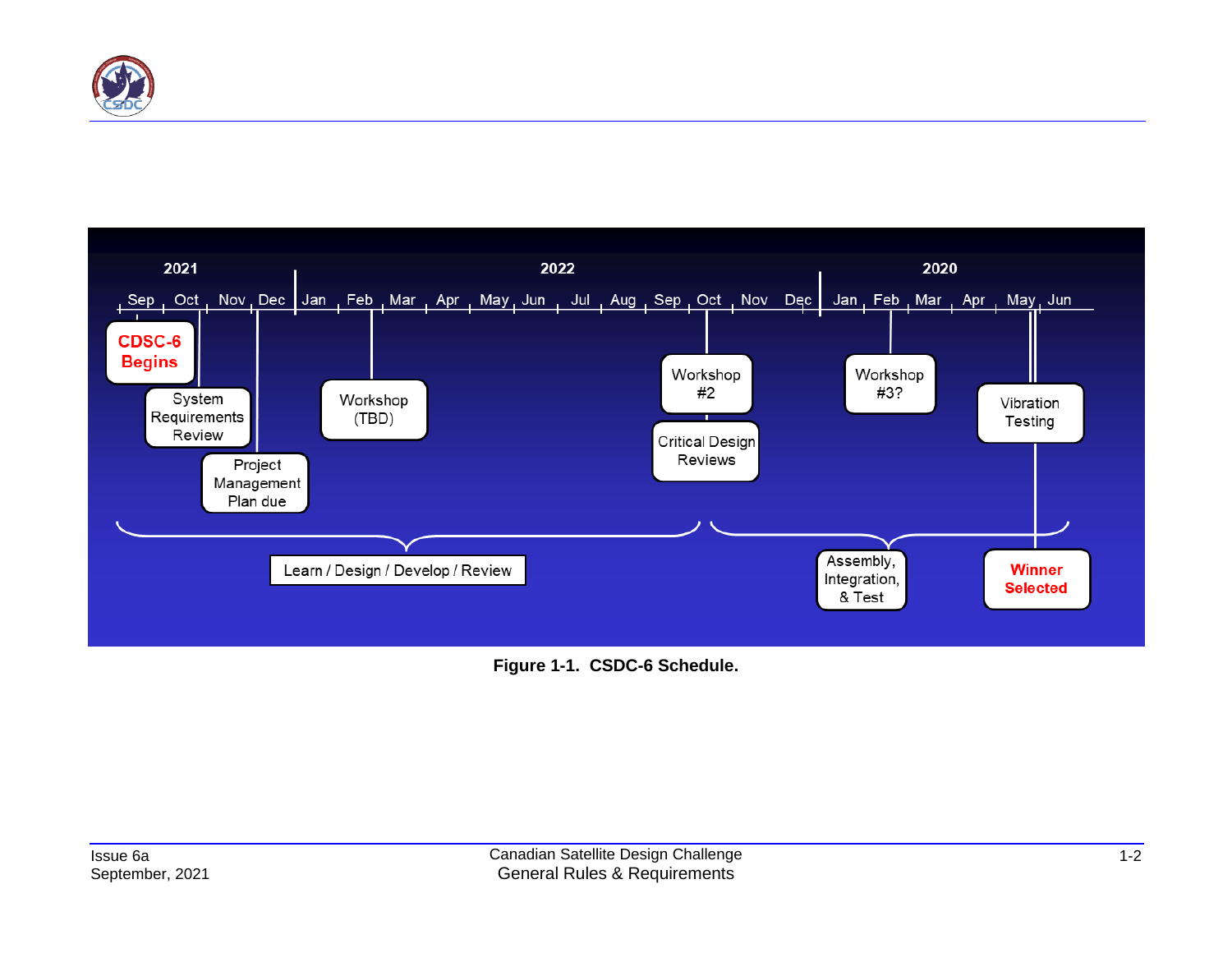



<span id="page-4-0"></span>**Figure 1-1. CSDC-6 Schedule.**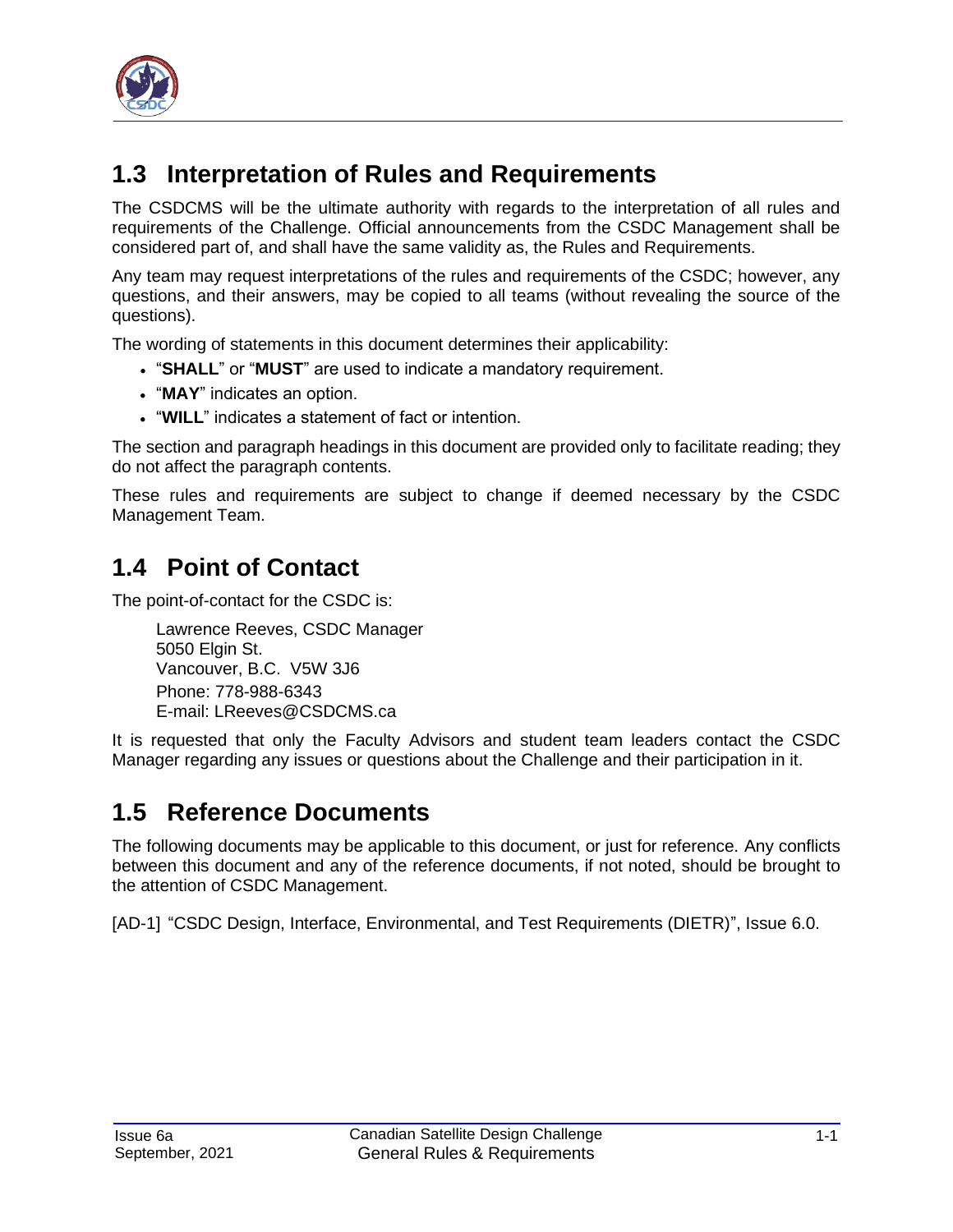

### <span id="page-5-0"></span>**1.3 Interpretation of Rules and Requirements**

The CSDCMS will be the ultimate authority with regards to the interpretation of all rules and requirements of the Challenge. Official announcements from the CSDC Management shall be considered part of, and shall have the same validity as, the Rules and Requirements.

Any team may request interpretations of the rules and requirements of the CSDC; however, any questions, and their answers, may be copied to all teams (without revealing the source of the questions).

The wording of statements in this document determines their applicability:

- "**SHALL**" or "**MUST**" are used to indicate a mandatory requirement.
- "**MAY**" indicates an option.
- "**WILL**" indicates a statement of fact or intention.

The section and paragraph headings in this document are provided only to facilitate reading; they do not affect the paragraph contents.

These rules and requirements are subject to change if deemed necessary by the CSDC Management Team.

### <span id="page-5-1"></span>**1.4 Point of Contact**

The point-of-contact for the CSDC is:

Lawrence Reeves, CSDC Manager 5050 Elgin St. Vancouver, B.C. V5W 3J6 Phone: 778-988-6343 E-mail: LReeves@CSDCMS.ca

It is requested that only the Faculty Advisors and student team leaders contact the CSDC Manager regarding any issues or questions about the Challenge and their participation in it.

### <span id="page-5-2"></span>**1.5 Reference Documents**

The following documents may be applicable to this document, or just for reference. Any conflicts between this document and any of the reference documents, if not noted, should be brought to the attention of CSDC Management.

<span id="page-5-3"></span>[AD-1] "CSDC Design, Interface, Environmental, and Test Requirements (DIETR)", Issue 6.0.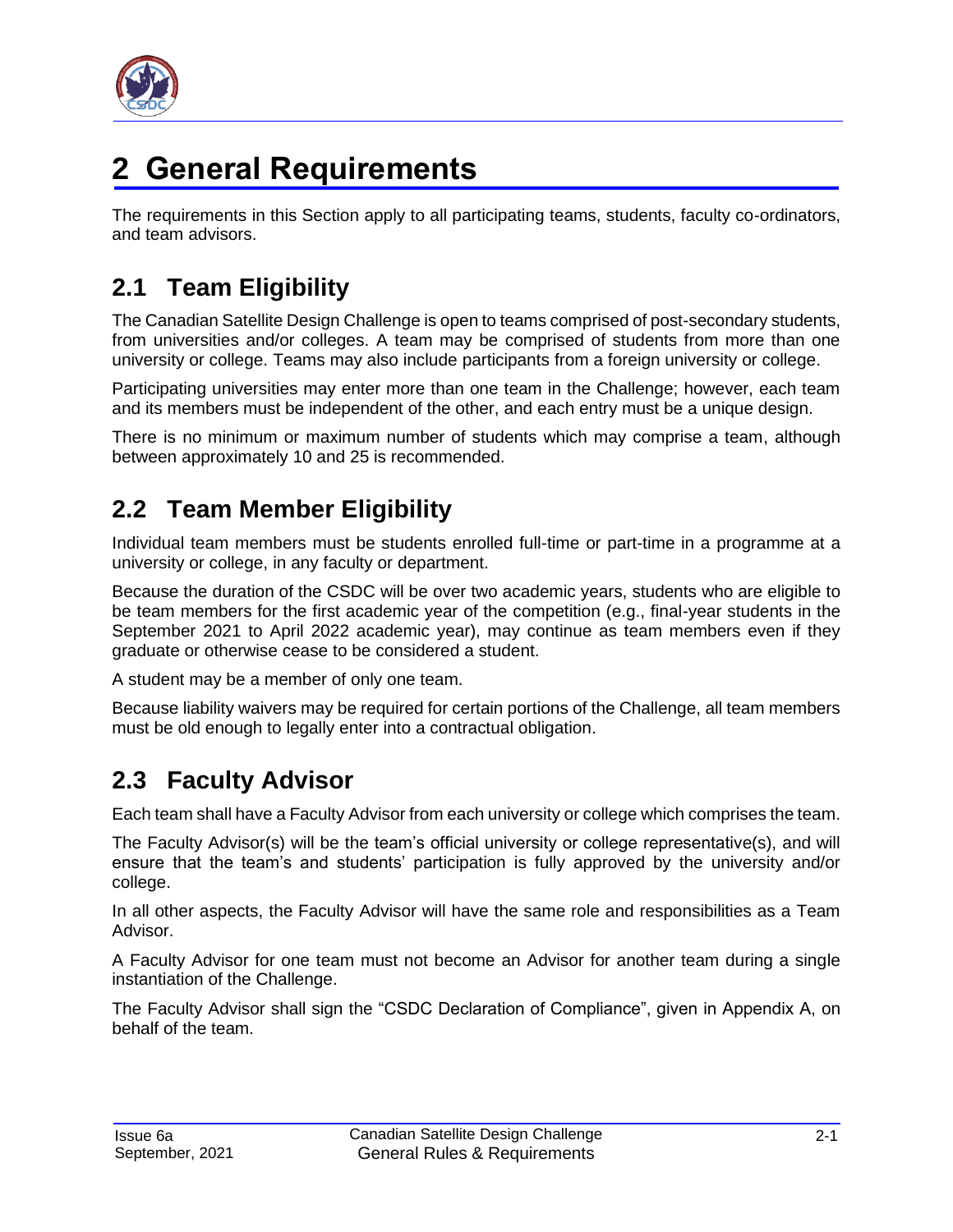

# <span id="page-6-0"></span>**2 General Requirements**

The requirements in this Section apply to all participating teams, students, faculty co-ordinators, and team advisors.

### <span id="page-6-1"></span>**2.1 Team Eligibility**

The Canadian Satellite Design Challenge is open to teams comprised of post-secondary students, from universities and/or colleges. A team may be comprised of students from more than one university or college. Teams may also include participants from a foreign university or college.

Participating universities may enter more than one team in the Challenge; however, each team and its members must be independent of the other, and each entry must be a unique design.

There is no minimum or maximum number of students which may comprise a team, although between approximately 10 and 25 is recommended.

### <span id="page-6-2"></span>**2.2 Team Member Eligibility**

Individual team members must be students enrolled full-time or part-time in a programme at a university or college, in any faculty or department.

Because the duration of the CSDC will be over two academic years, students who are eligible to be team members for the first academic year of the competition (e.g., final-year students in the September 2021 to April 2022 academic year), may continue as team members even if they graduate or otherwise cease to be considered a student.

A student may be a member of only one team.

Because liability waivers may be required for certain portions of the Challenge, all team members must be old enough to legally enter into a contractual obligation.

### <span id="page-6-3"></span>**2.3 Faculty Advisor**

Each team shall have a Faculty Advisor from each university or college which comprises the team.

The Faculty Advisor(s) will be the team's official university or college representative(s), and will ensure that the team's and students' participation is fully approved by the university and/or college.

In all other aspects, the Faculty Advisor will have the same role and responsibilities as a Team Advisor.

A Faculty Advisor for one team must not become an Advisor for another team during a single instantiation of the Challenge.

The Faculty Advisor shall sign the "CSDC Declaration of Compliance", given in Appendix A, on behalf of the team.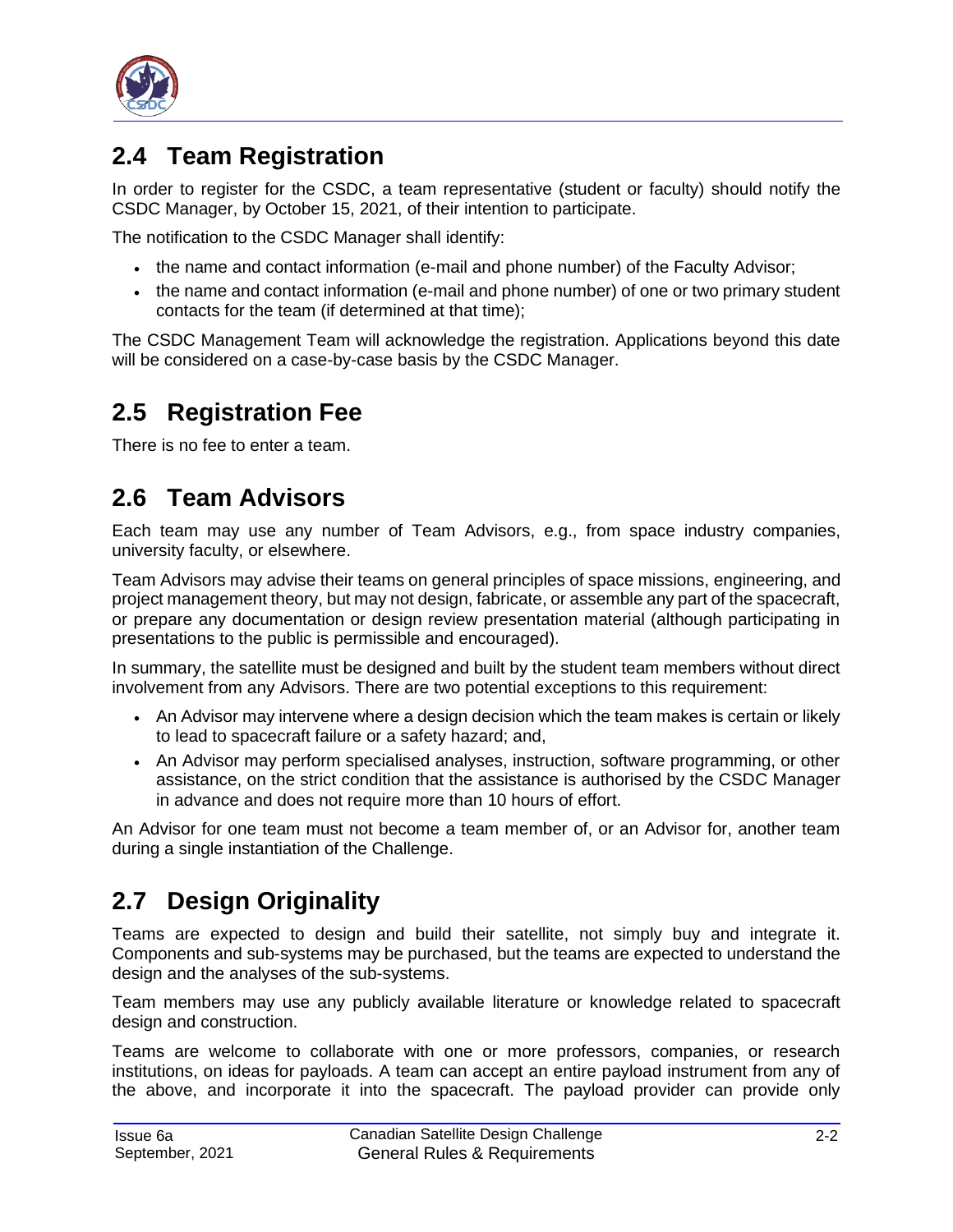

### <span id="page-7-0"></span>**2.4 Team Registration**

In order to register for the CSDC, a team representative (student or faculty) should notify the CSDC Manager, by October 15, 2021, of their intention to participate.

The notification to the CSDC Manager shall identify:

- the name and contact information (e-mail and phone number) of the Faculty Advisor;
- the name and contact information (e-mail and phone number) of one or two primary student contacts for the team (if determined at that time);

The CSDC Management Team will acknowledge the registration. Applications beyond this date will be considered on a case-by-case basis by the CSDC Manager.

### <span id="page-7-1"></span>**2.5 Registration Fee**

There is no fee to enter a team.

### <span id="page-7-2"></span>**2.6 Team Advisors**

Each team may use any number of Team Advisors, e.g., from space industry companies, university faculty, or elsewhere.

Team Advisors may advise their teams on general principles of space missions, engineering, and project management theory, but may not design, fabricate, or assemble any part of the spacecraft, or prepare any documentation or design review presentation material (although participating in presentations to the public is permissible and encouraged).

In summary, the satellite must be designed and built by the student team members without direct involvement from any Advisors. There are two potential exceptions to this requirement:

- An Advisor may intervene where a design decision which the team makes is certain or likely to lead to spacecraft failure or a safety hazard; and,
- An Advisor may perform specialised analyses, instruction, software programming, or other assistance, on the strict condition that the assistance is authorised by the CSDC Manager in advance and does not require more than 10 hours of effort.

An Advisor for one team must not become a team member of, or an Advisor for, another team during a single instantiation of the Challenge.

### <span id="page-7-3"></span>**2.7 Design Originality**

Teams are expected to design and build their satellite, not simply buy and integrate it. Components and sub-systems may be purchased, but the teams are expected to understand the design and the analyses of the sub-systems.

Team members may use any publicly available literature or knowledge related to spacecraft design and construction.

Teams are welcome to collaborate with one or more professors, companies, or research institutions, on ideas for payloads. A team can accept an entire payload instrument from any of the above, and incorporate it into the spacecraft. The payload provider can provide only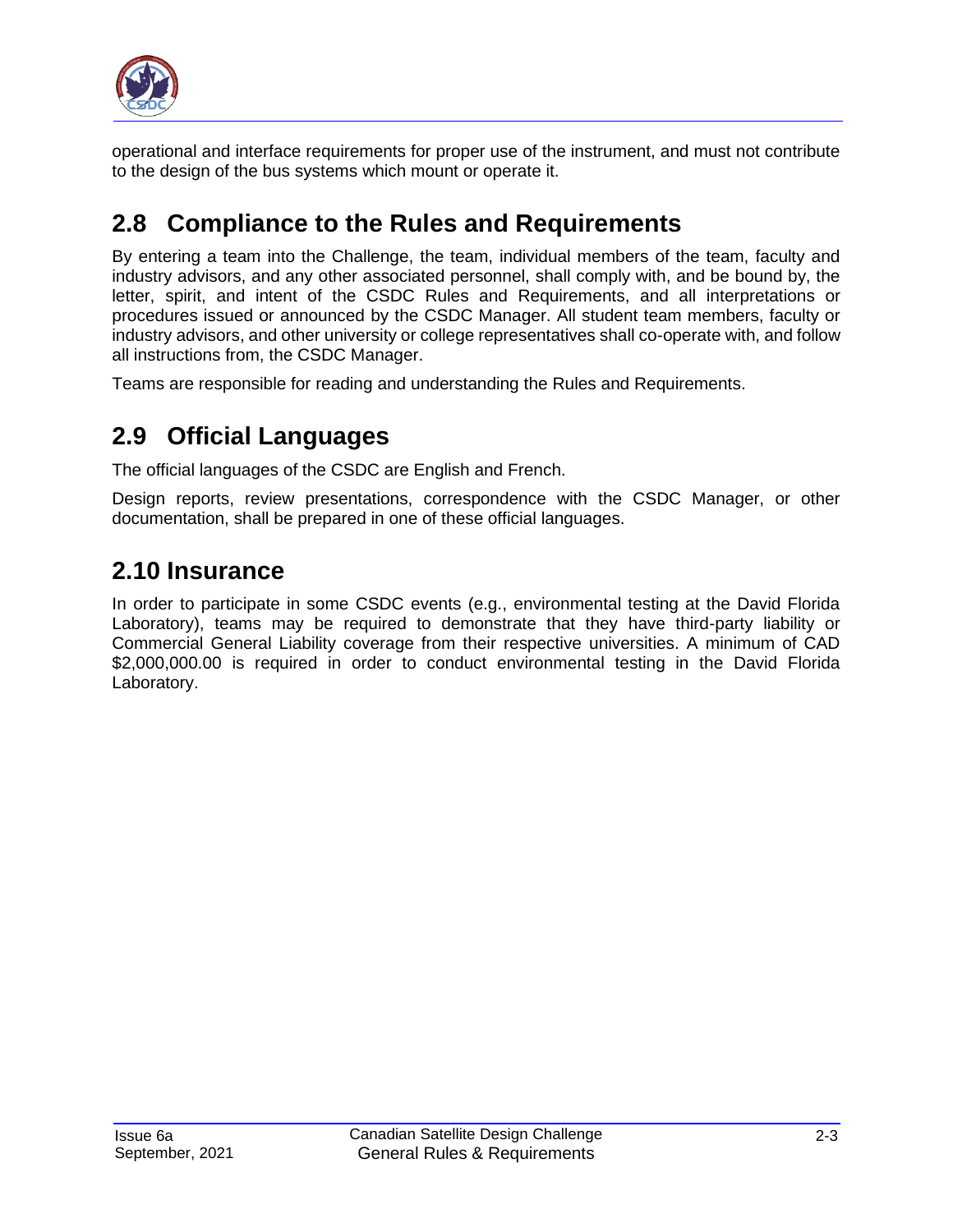

operational and interface requirements for proper use of the instrument, and must not contribute to the design of the bus systems which mount or operate it.

### <span id="page-8-0"></span>**2.8 Compliance to the Rules and Requirements**

By entering a team into the Challenge, the team, individual members of the team, faculty and industry advisors, and any other associated personnel, shall comply with, and be bound by, the letter, spirit, and intent of the CSDC Rules and Requirements, and all interpretations or procedures issued or announced by the CSDC Manager. All student team members, faculty or industry advisors, and other university or college representatives shall co-operate with, and follow all instructions from, the CSDC Manager.

Teams are responsible for reading and understanding the Rules and Requirements.

### <span id="page-8-1"></span>**2.9 Official Languages**

The official languages of the CSDC are English and French.

Design reports, review presentations, correspondence with the CSDC Manager, or other documentation, shall be prepared in one of these official languages.

### <span id="page-8-2"></span>**2.10 Insurance**

In order to participate in some CSDC events (e.g., environmental testing at the David Florida Laboratory), teams may be required to demonstrate that they have third-party liability or Commercial General Liability coverage from their respective universities. A minimum of CAD \$2,000,000.00 is required in order to conduct environmental testing in the David Florida Laboratory.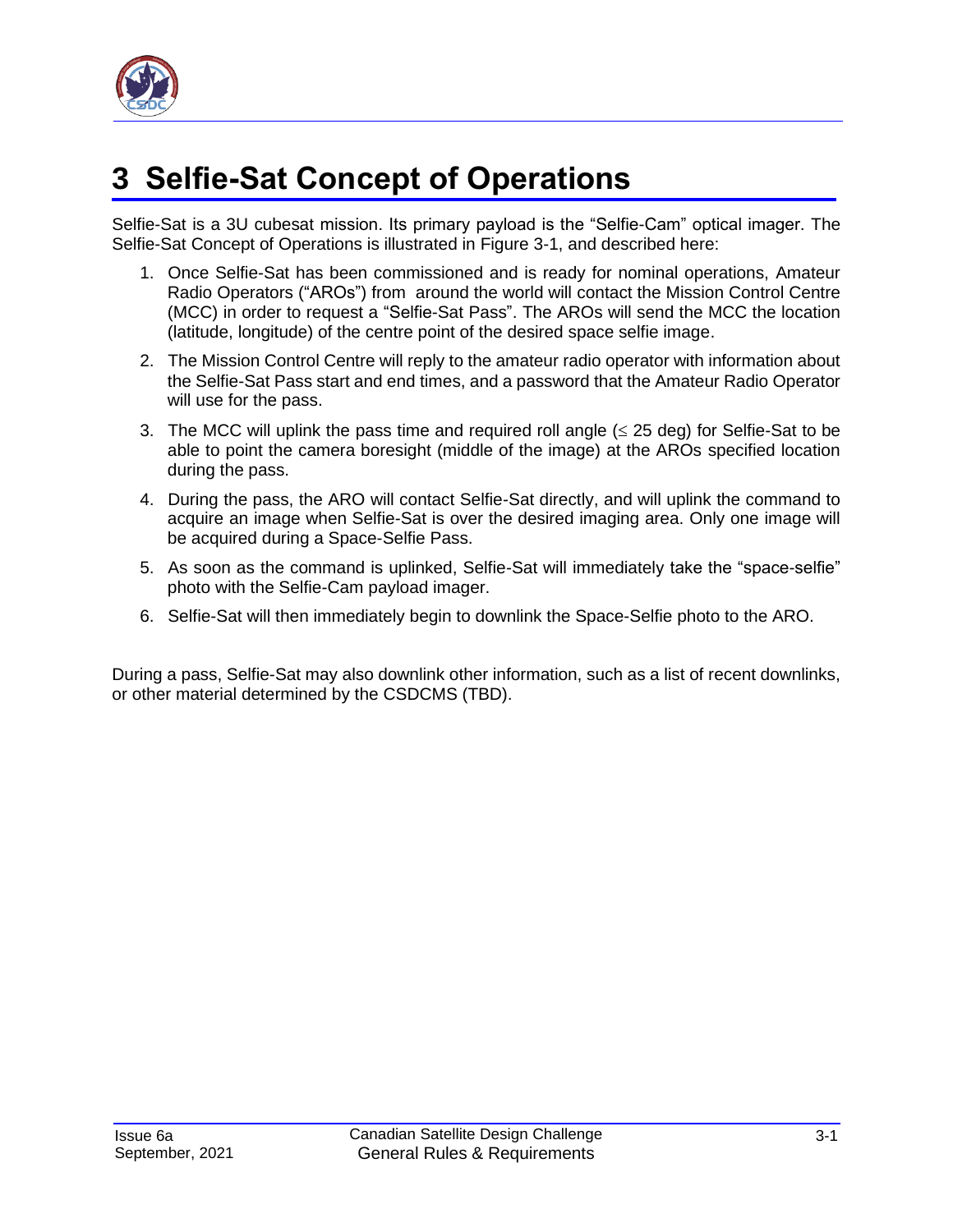

# <span id="page-9-0"></span>**3 Selfie-Sat Concept of Operations**

Selfie-Sat is a 3U cubesat mission. Its primary payload is the "Selfie-Cam" optical imager. The Selfie-Sat Concept of Operations is illustrated in [Figure 3-1,](#page-10-0) and described here:

- 1. Once Selfie-Sat has been commissioned and is ready for nominal operations, Amateur Radio Operators ("AROs") from around the world will contact the Mission Control Centre (MCC) in order to request a "Selfie-Sat Pass". The AROs will send the MCC the location (latitude, longitude) of the centre point of the desired space selfie image.
- 2. The Mission Control Centre will reply to the amateur radio operator with information about the Selfie-Sat Pass start and end times, and a password that the Amateur Radio Operator will use for the pass.
- 3. The MCC will uplink the pass time and required roll angle  $( \leq 25 \text{ deg})$  for Selfie-Sat to be able to point the camera boresight (middle of the image) at the AROs specified location during the pass.
- 4. During the pass, the ARO will contact Selfie-Sat directly, and will uplink the command to acquire an image when Selfie-Sat is over the desired imaging area. Only one image will be acquired during a Space-Selfie Pass.
- 5. As soon as the command is uplinked, Selfie-Sat will immediately take the "space-selfie" photo with the Selfie-Cam payload imager.
- 6. Selfie-Sat will then immediately begin to downlink the Space-Selfie photo to the ARO.

During a pass, Selfie-Sat may also downlink other information, such as a list of recent downlinks, or other material determined by the CSDCMS (TBD).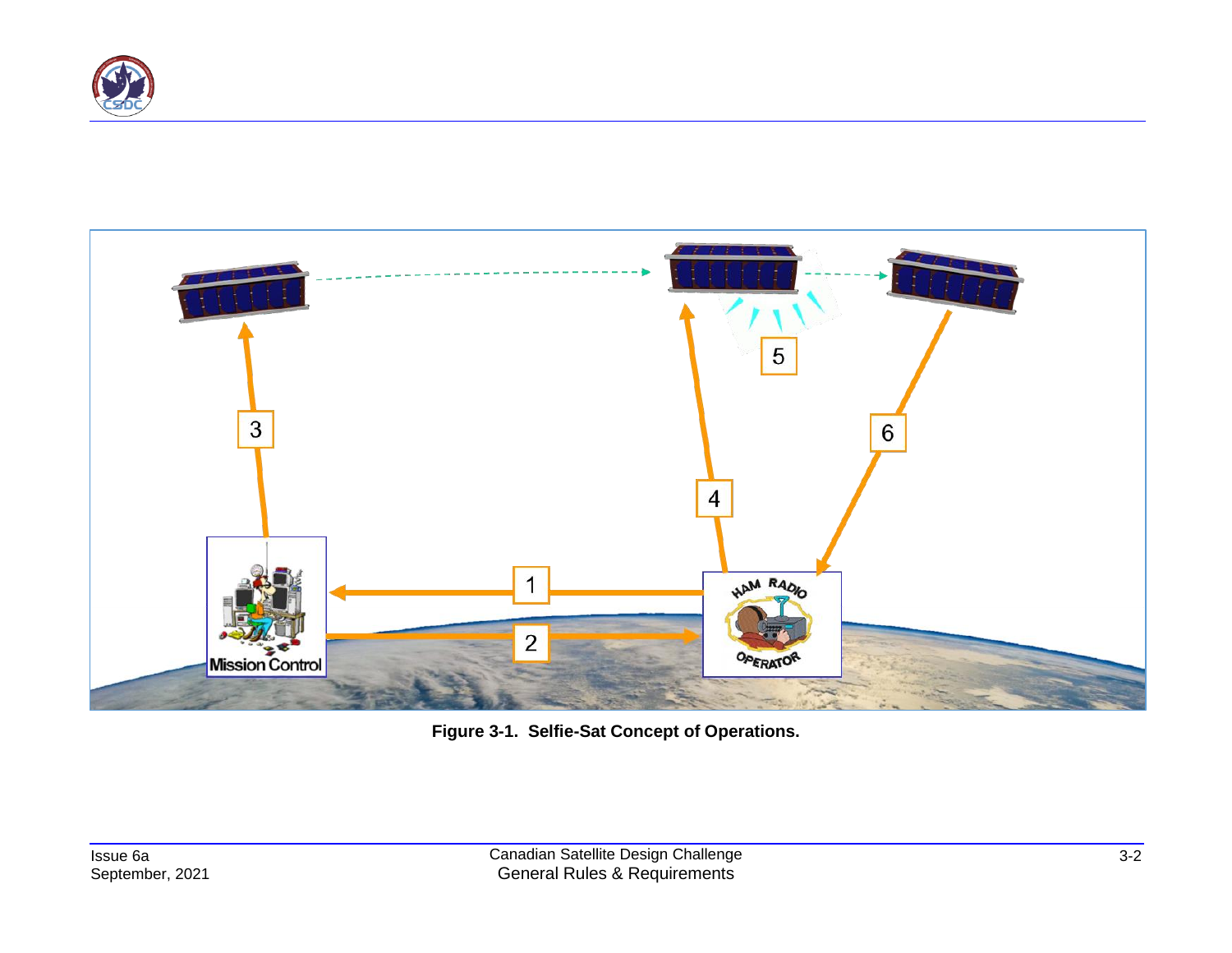



<span id="page-10-0"></span>**Figure 3-1. Selfie-Sat Concept of Operations.**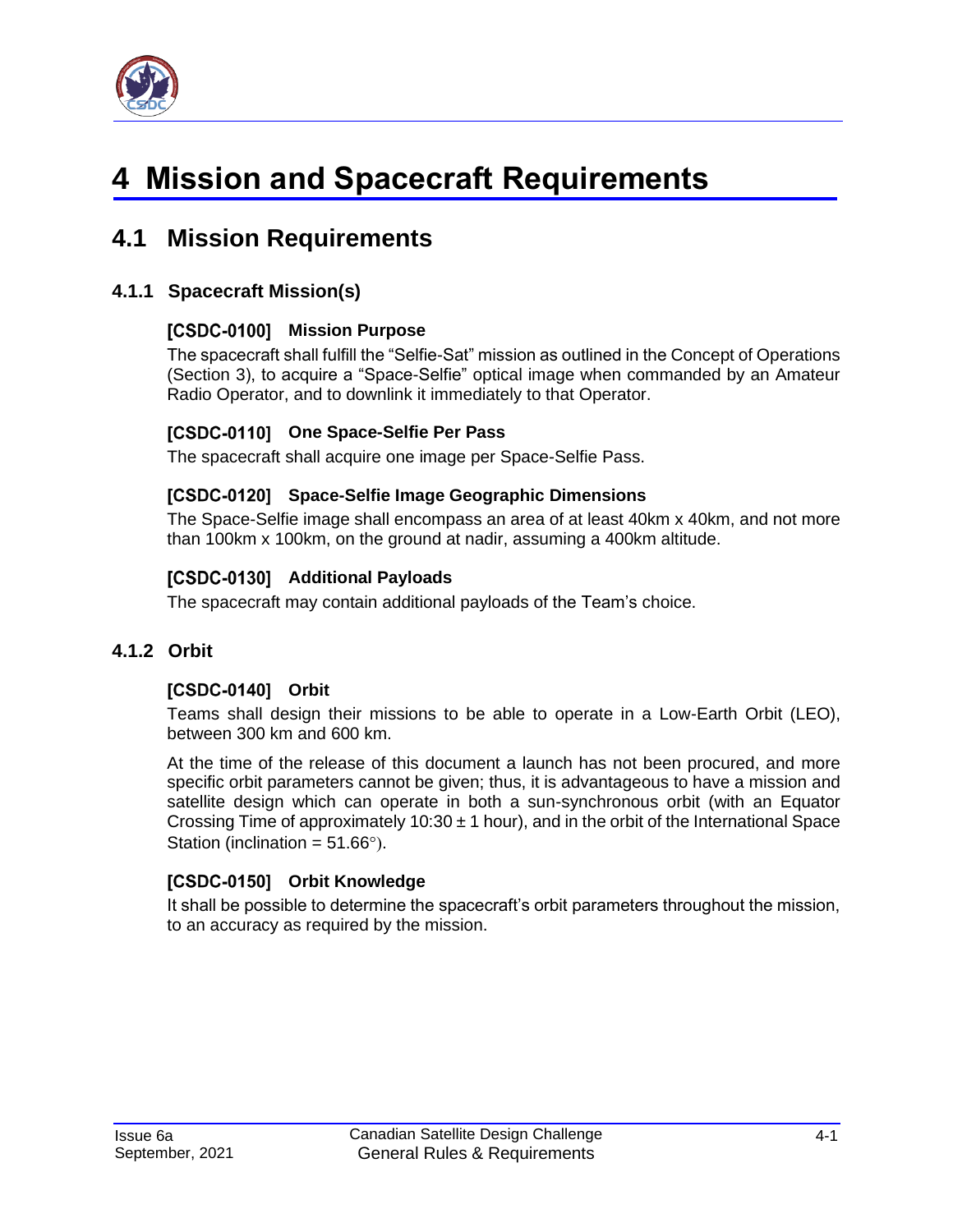

# <span id="page-11-0"></span>**4 Mission and Spacecraft Requirements**

### <span id="page-11-1"></span>**4.1 Mission Requirements**

#### <span id="page-11-2"></span>**4.1.1 Spacecraft Mission(s)**

#### [CSDC-0100] Mission Purpose

The spacecraft shall fulfill the "Selfie-Sat" mission as outlined in the Concept of Operations (Section 3), to acquire a "Space-Selfie" optical image when commanded by an Amateur Radio Operator, and to downlink it immediately to that Operator.

#### **[CSDC-0110] One Space-Selfie Per Pass**

The spacecraft shall acquire one image per Space-Selfie Pass.

#### **Space-Selfie Image Geographic Dimensions**

The Space-Selfie image shall encompass an area of at least 40km x 40km, and not more than 100km x 100km, on the ground at nadir, assuming a 400km altitude.

#### [CSDC-0130] Additional Payloads

The spacecraft may contain additional payloads of the Team's choice.

#### <span id="page-11-3"></span>**4.1.2 Orbit**

#### [CSDC-0140] Orbit

Teams shall design their missions to be able to operate in a Low-Earth Orbit (LEO), between 300 km and 600 km.

At the time of the release of this document a launch has not been procured, and more specific orbit parameters cannot be given; thus, it is advantageous to have a mission and satellite design which can operate in both a sun-synchronous orbit (with an Equator Crossing Time of approximately 10:30  $\pm$  1 hour), and in the orbit of the International Space Station (inclination =  $51.66^{\circ}$ ).

#### [CSDC-0150] Orbit Knowledge

It shall be possible to determine the spacecraft's orbit parameters throughout the mission, to an accuracy as required by the mission.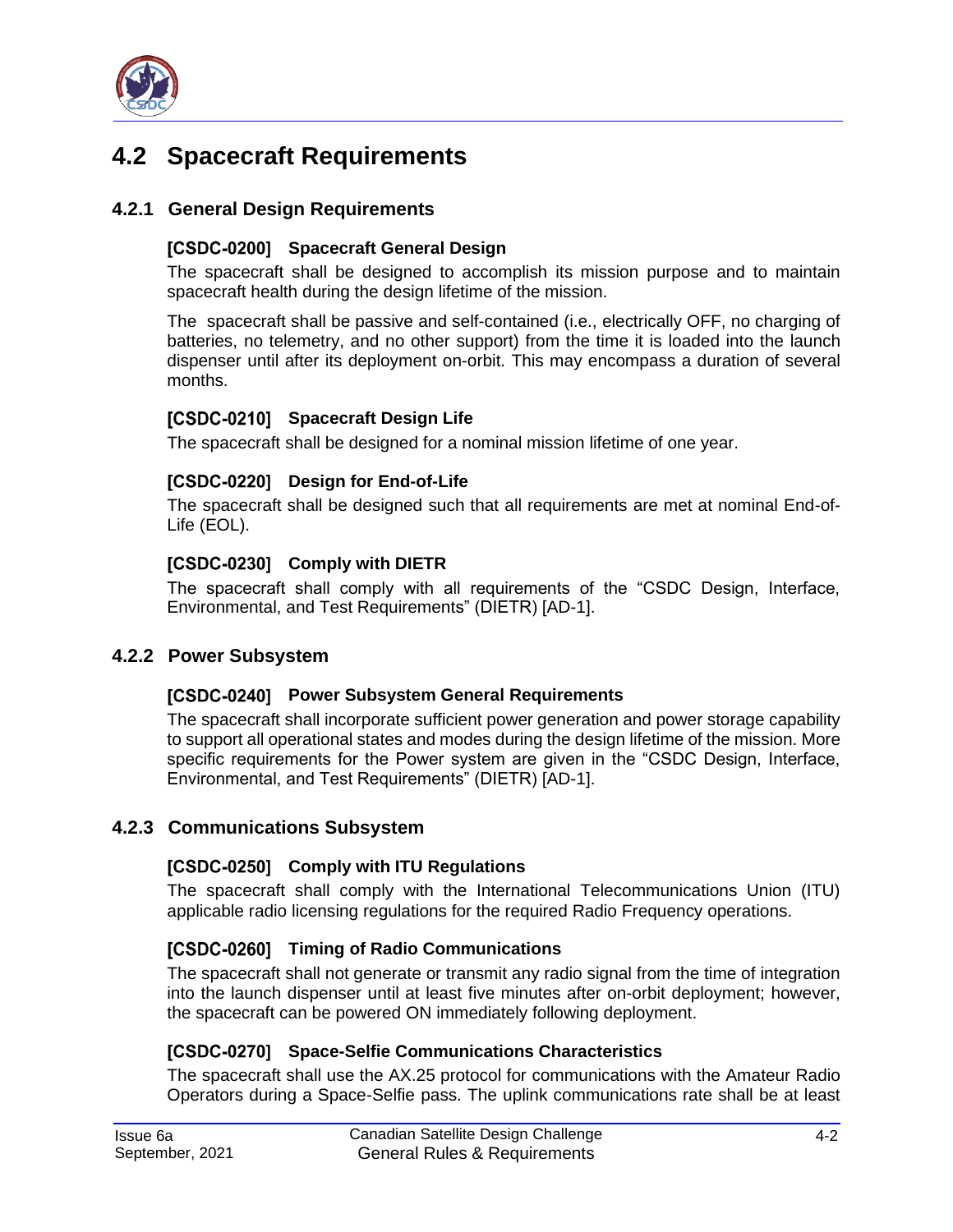

### <span id="page-12-0"></span>**4.2 Spacecraft Requirements**

#### <span id="page-12-1"></span>**4.2.1 General Design Requirements**

#### [CSDC-0200] Spacecraft General Design

The spacecraft shall be designed to accomplish its mission purpose and to maintain spacecraft health during the design lifetime of the mission.

The spacecraft shall be passive and self-contained (i.e., electrically OFF, no charging of batteries, no telemetry, and no other support) from the time it is loaded into the launch dispenser until after its deployment on-orbit. This may encompass a duration of several months.

#### **[CSDC-0210] Spacecraft Design Life**

The spacecraft shall be designed for a nominal mission lifetime of one year.

#### [CSDC-0220] Design for End-of-Life

The spacecraft shall be designed such that all requirements are met at nominal End-of-Life (EOL).

#### [CSDC-0230] Comply with DIETR

The spacecraft shall comply with all requirements of the "CSDC Design, Interface, Environmental, and Test Requirements" (DIETR) [\[AD-1\].](#page-5-3)

#### <span id="page-12-2"></span>**4.2.2 Power Subsystem**

#### **[CSDC-0240] Power Subsystem General Requirements**

The spacecraft shall incorporate sufficient power generation and power storage capability to support all operational states and modes during the design lifetime of the mission. More specific requirements for the Power system are given in the "CSDC Design, Interface, Environmental, and Test Requirements" (DIETR) [\[AD-1\].](#page-5-3)

#### <span id="page-12-3"></span>**4.2.3 Communications Subsystem**

#### [CSDC-0250] Comply with ITU Regulations

The spacecraft shall comply with the International Telecommunications Union (ITU) applicable radio licensing regulations for the required Radio Frequency operations.

#### [CSDC-0260] Timing of Radio Communications

The spacecraft shall not generate or transmit any radio signal from the time of integration into the launch dispenser until at least five minutes after on-orbit deployment; however, the spacecraft can be powered ON immediately following deployment.

#### [CSDC-0270] Space-Selfie Communications Characteristics

The spacecraft shall use the AX.25 protocol for communications with the Amateur Radio Operators during a Space-Selfie pass. The uplink communications rate shall be at least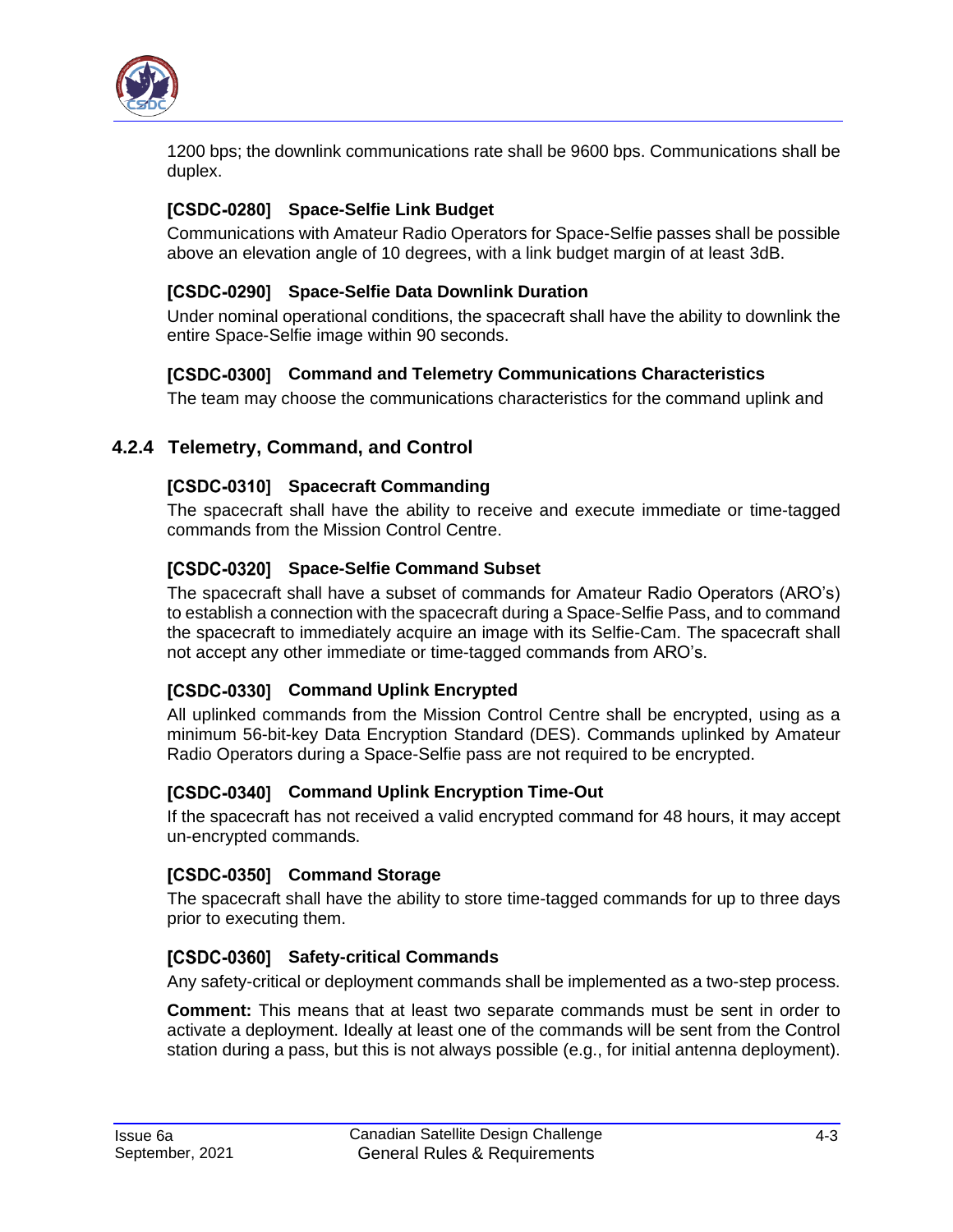

1200 bps; the downlink communications rate shall be 9600 bps. Communications shall be duplex.

#### [CSDC-0280] Space-Selfie Link Budget

Communications with Amateur Radio Operators for Space-Selfie passes shall be possible above an elevation angle of 10 degrees, with a link budget margin of at least 3dB.

#### **Space-Selfie Data Downlink Duration**

Under nominal operational conditions, the spacecraft shall have the ability to downlink the entire Space-Selfie image within 90 seconds.

#### **Command and Telemetry Communications Characteristics**

The team may choose the communications characteristics for the command uplink and

#### <span id="page-13-0"></span>**4.2.4 Telemetry, Command, and Control**

#### [CSDC-0310] Spacecraft Commanding

The spacecraft shall have the ability to receive and execute immediate or time-tagged commands from the Mission Control Centre.

#### [CSDC-0320] Space-Selfie Command Subset

The spacecraft shall have a subset of commands for Amateur Radio Operators (ARO's) to establish a connection with the spacecraft during a Space-Selfie Pass, and to command the spacecraft to immediately acquire an image with its Selfie-Cam. The spacecraft shall not accept any other immediate or time-tagged commands from ARO's.

#### [CSDC-0330] Command Uplink Encrypted

All uplinked commands from the Mission Control Centre shall be encrypted, using as a minimum 56-bit-key Data Encryption Standard (DES). Commands uplinked by Amateur Radio Operators during a Space-Selfie pass are not required to be encrypted.

#### [CSDC-0340] Command Uplink Encryption Time-Out

If the spacecraft has not received a valid encrypted command for 48 hours, it may accept un-encrypted commands.

#### [CSDC-0350] Command Storage

The spacecraft shall have the ability to store time-tagged commands for up to three days prior to executing them.

#### [CSDC-0360] Safety-critical Commands

Any safety-critical or deployment commands shall be implemented as a two-step process.

**Comment:** This means that at least two separate commands must be sent in order to activate a deployment. Ideally at least one of the commands will be sent from the Control station during a pass, but this is not always possible (e.g., for initial antenna deployment).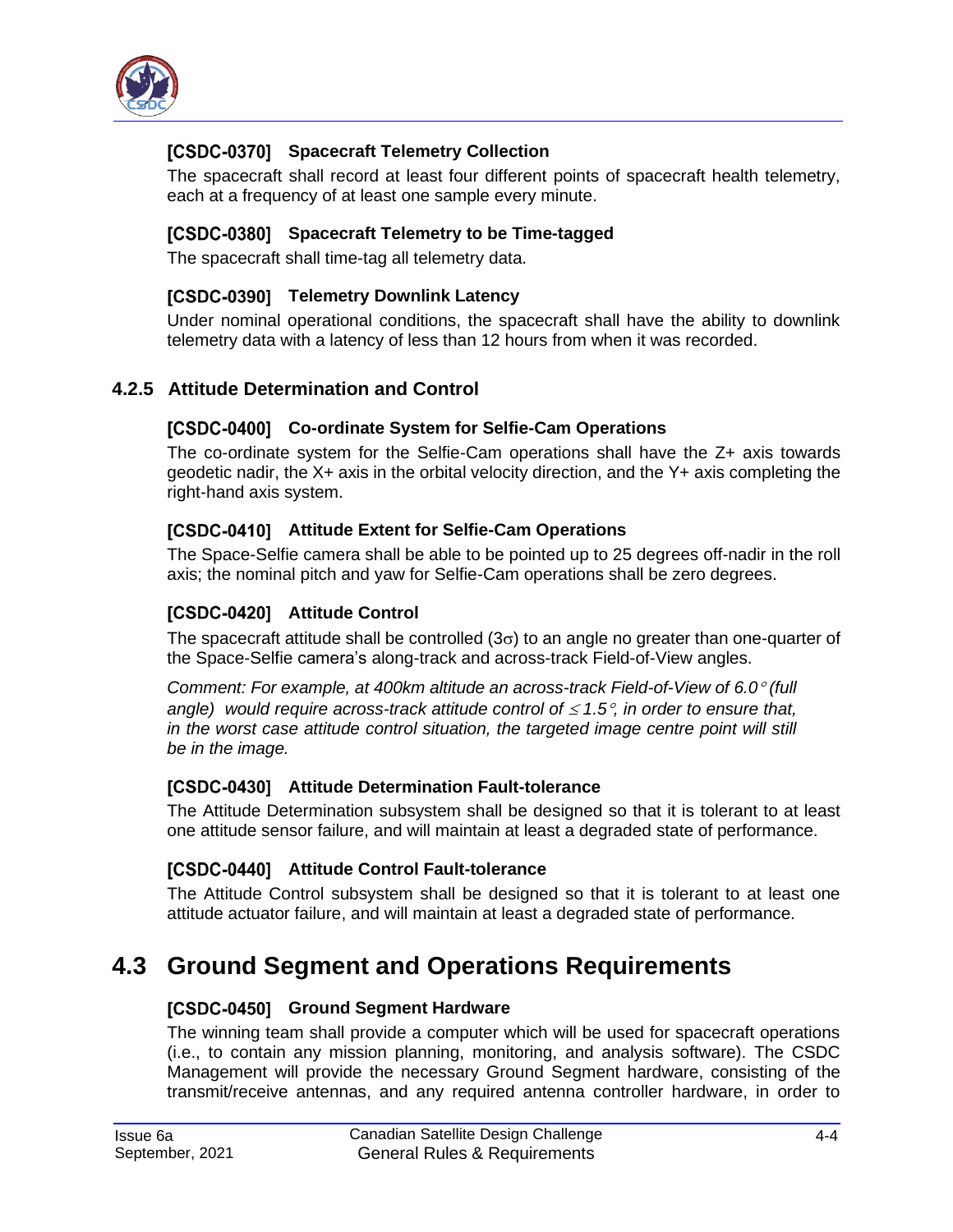

#### **[CSDC-0370] Spacecraft Telemetry Collection**

The spacecraft shall record at least four different points of spacecraft health telemetry, each at a frequency of at least one sample every minute.

#### **Spacecraft Telemetry to be Time-tagged**

The spacecraft shall time-tag all telemetry data.

#### [CSDC-0390] Telemetry Downlink Latency

Under nominal operational conditions, the spacecraft shall have the ability to downlink telemetry data with a latency of less than 12 hours from when it was recorded.

#### <span id="page-14-0"></span>**4.2.5 Attitude Determination and Control**

#### [CSDC-0400] Co-ordinate System for Selfie-Cam Operations

The co-ordinate system for the Selfie-Cam operations shall have the Z+ axis towards geodetic nadir, the X+ axis in the orbital velocity direction, and the Y+ axis completing the right-hand axis system.

#### [CSDC-0410] Attitude Extent for Selfie-Cam Operations

The Space-Selfie camera shall be able to be pointed up to 25 degrees off-nadir in the roll axis; the nominal pitch and yaw for Selfie-Cam operations shall be zero degrees.

#### [CSDC-0420] Attitude Control

The spacecraft attitude shall be controlled  $(3\sigma)$  to an angle no greater than one-quarter of the Space-Selfie camera's along-track and across-track Field-of-View angles.

*Comment: For example, at 400km altitude an across-track Field-of-View of 6.0 (full angle)* would require across-track attitude control of  $\leq 1.5^\circ$ , in order to ensure that, *in the worst case attitude control situation, the targeted image centre point will still be in the image.*

#### **[CSDC-0430]** Attitude Determination Fault-tolerance

The Attitude Determination subsystem shall be designed so that it is tolerant to at least one attitude sensor failure, and will maintain at least a degraded state of performance.

#### **[CSDC-0440] Attitude Control Fault-tolerance**

The Attitude Control subsystem shall be designed so that it is tolerant to at least one attitude actuator failure, and will maintain at least a degraded state of performance.

### <span id="page-14-1"></span>**4.3 Ground Segment and Operations Requirements**

#### [CSDC-0450] Ground Segment Hardware

The winning team shall provide a computer which will be used for spacecraft operations (i.e., to contain any mission planning, monitoring, and analysis software). The CSDC Management will provide the necessary Ground Segment hardware, consisting of the transmit/receive antennas, and any required antenna controller hardware, in order to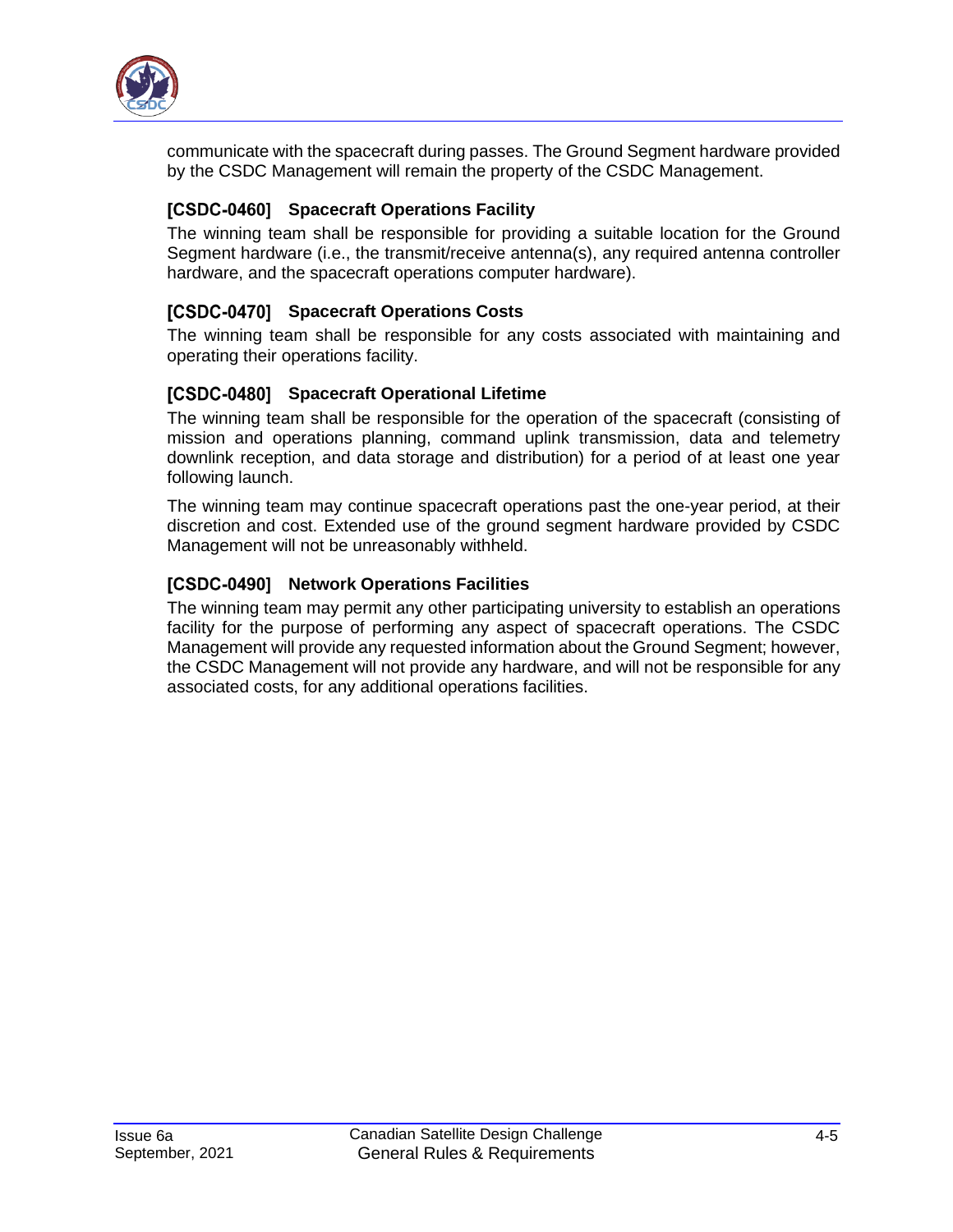

communicate with the spacecraft during passes. The Ground Segment hardware provided by the CSDC Management will remain the property of the CSDC Management.

#### **[CSDC-0460] Spacecraft Operations Facility**

The winning team shall be responsible for providing a suitable location for the Ground Segment hardware (i.e., the transmit/receive antenna(s), any required antenna controller hardware, and the spacecraft operations computer hardware).

#### **[CSDC-0470] Spacecraft Operations Costs**

The winning team shall be responsible for any costs associated with maintaining and operating their operations facility.

#### **[CSDC-0480] Spacecraft Operational Lifetime**

The winning team shall be responsible for the operation of the spacecraft (consisting of mission and operations planning, command uplink transmission, data and telemetry downlink reception, and data storage and distribution) for a period of at least one year following launch.

The winning team may continue spacecraft operations past the one-year period, at their discretion and cost. Extended use of the ground segment hardware provided by CSDC Management will not be unreasonably withheld.

#### **[CSDC-0490] Network Operations Facilities**

The winning team may permit any other participating university to establish an operations facility for the purpose of performing any aspect of spacecraft operations. The CSDC Management will provide any requested information about the Ground Segment; however, the CSDC Management will not provide any hardware, and will not be responsible for any associated costs, for any additional operations facilities.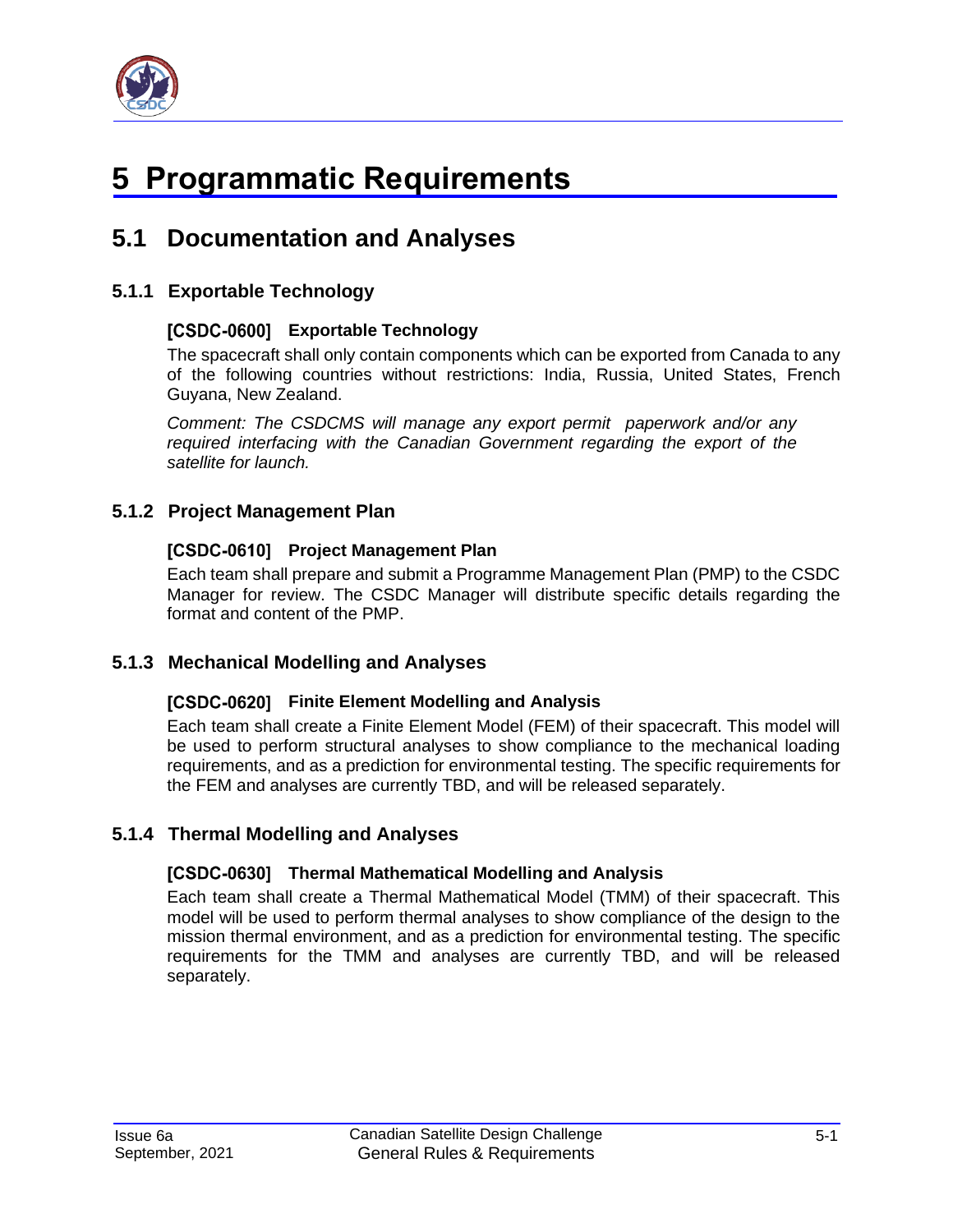

# <span id="page-16-0"></span>**5 Programmatic Requirements**

### <span id="page-16-1"></span>**5.1 Documentation and Analyses**

#### <span id="page-16-2"></span>**5.1.1 Exportable Technology**

#### **Exportable Technology**

The spacecraft shall only contain components which can be exported from Canada to any of the following countries without restrictions: India, Russia, United States, French Guyana, New Zealand.

*Comment: The CSDCMS will manage any export permit paperwork and/or any required interfacing with the Canadian Government regarding the export of the satellite for launch.*

#### <span id="page-16-3"></span>**5.1.2 Project Management Plan**

#### **[CSDC-0610] Project Management Plan**

Each team shall prepare and submit a Programme Management Plan (PMP) to the CSDC Manager for review. The CSDC Manager will distribute specific details regarding the format and content of the PMP.

#### <span id="page-16-4"></span>**5.1.3 Mechanical Modelling and Analyses**

#### **FILTE 108001 Finite Element Modelling and Analysis**

Each team shall create a Finite Element Model (FEM) of their spacecraft. This model will be used to perform structural analyses to show compliance to the mechanical loading requirements, and as a prediction for environmental testing. The specific requirements for the FEM and analyses are currently TBD, and will be released separately.

#### <span id="page-16-5"></span>**5.1.4 Thermal Modelling and Analyses**

#### **Thermal Mathematical Modelling and Analysis**

Each team shall create a Thermal Mathematical Model (TMM) of their spacecraft. This model will be used to perform thermal analyses to show compliance of the design to the mission thermal environment, and as a prediction for environmental testing. The specific requirements for the TMM and analyses are currently TBD, and will be released separately.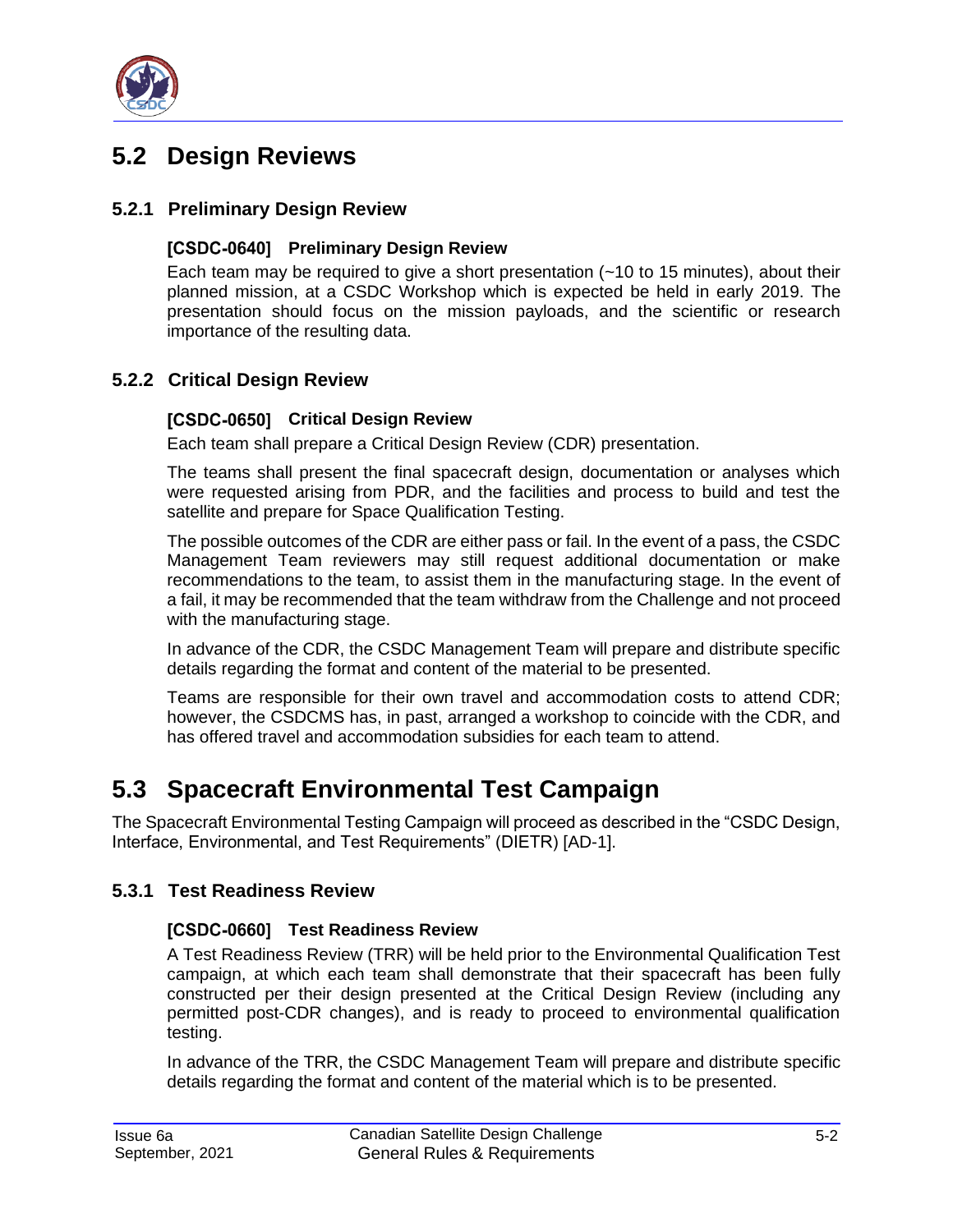

### <span id="page-17-0"></span>**5.2 Design Reviews**

#### <span id="page-17-1"></span>**5.2.1 Preliminary Design Review**

#### [CSDC-0640] Preliminary Design Review

Each team may be required to give a short presentation  $(-10 \text{ to } 15 \text{ minutes})$ , about their planned mission, at a CSDC Workshop which is expected be held in early 2019. The presentation should focus on the mission payloads, and the scientific or research importance of the resulting data.

#### <span id="page-17-2"></span>**5.2.2 Critical Design Review**

#### [CSDC-0650] Critical Design Review

Each team shall prepare a Critical Design Review (CDR) presentation.

The teams shall present the final spacecraft design, documentation or analyses which were requested arising from PDR, and the facilities and process to build and test the satellite and prepare for Space Qualification Testing.

The possible outcomes of the CDR are either pass or fail. In the event of a pass, the CSDC Management Team reviewers may still request additional documentation or make recommendations to the team, to assist them in the manufacturing stage. In the event of a fail, it may be recommended that the team withdraw from the Challenge and not proceed with the manufacturing stage.

In advance of the CDR, the CSDC Management Team will prepare and distribute specific details regarding the format and content of the material to be presented.

Teams are responsible for their own travel and accommodation costs to attend CDR; however, the CSDCMS has, in past, arranged a workshop to coincide with the CDR, and has offered travel and accommodation subsidies for each team to attend.

### <span id="page-17-3"></span>**5.3 Spacecraft Environmental Test Campaign**

The Spacecraft Environmental Testing Campaign will proceed as described in the "CSDC Design, Interface, Environmental, and Test Requirements" (DIETR) [\[AD-1\].](#page-5-3)

#### <span id="page-17-4"></span>**5.3.1 Test Readiness Review**

#### **Test Readiness Review**

A Test Readiness Review (TRR) will be held prior to the Environmental Qualification Test campaign, at which each team shall demonstrate that their spacecraft has been fully constructed per their design presented at the Critical Design Review (including any permitted post-CDR changes), and is ready to proceed to environmental qualification testing.

In advance of the TRR, the CSDC Management Team will prepare and distribute specific details regarding the format and content of the material which is to be presented.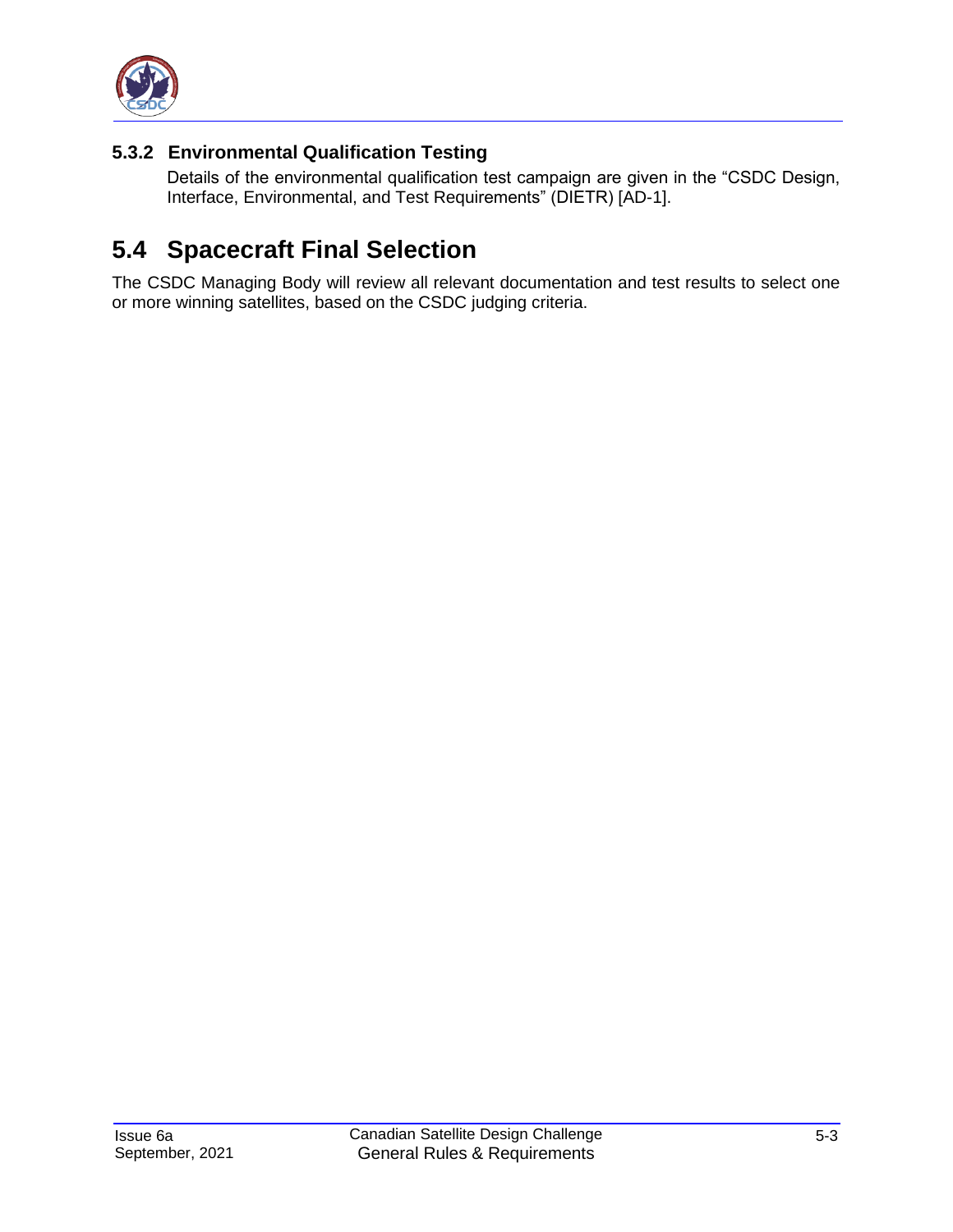

#### <span id="page-18-0"></span>**5.3.2 Environmental Qualification Testing**

Details of the environmental qualification test campaign are given in the "CSDC Design, Interface, Environmental, and Test Requirements" (DIETR) [\[AD-1\].](#page-5-3)

### <span id="page-18-1"></span>**5.4 Spacecraft Final Selection**

The CSDC Managing Body will review all relevant documentation and test results to select one or more winning satellites, based on the CSDC judging criteria.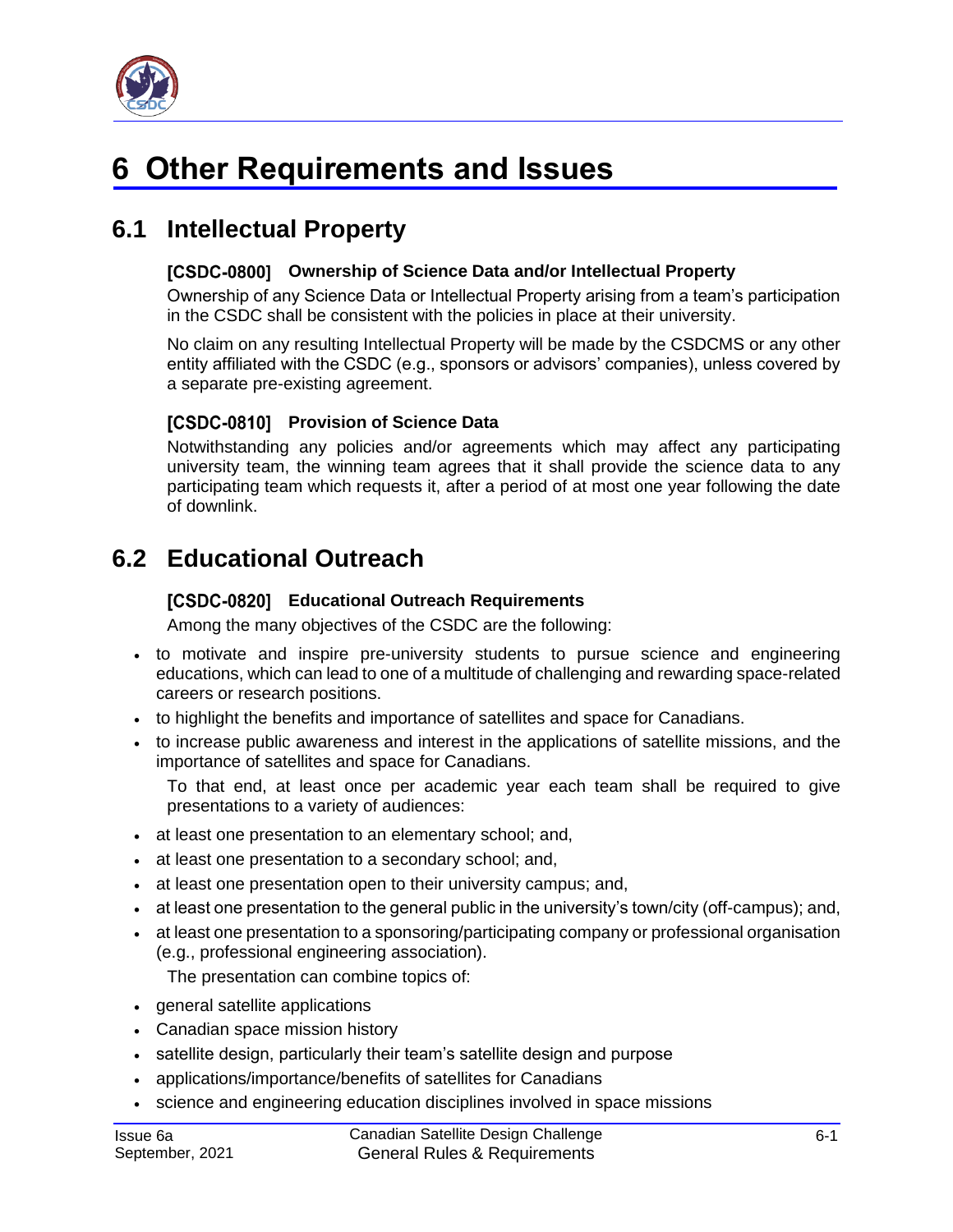

# <span id="page-19-0"></span>**6 Other Requirements and Issues**

### <span id="page-19-1"></span>**6.1 Intellectual Property**

#### **Ownership of Science Data and/or Intellectual Property**

Ownership of any Science Data or Intellectual Property arising from a team's participation in the CSDC shall be consistent with the policies in place at their university.

No claim on any resulting Intellectual Property will be made by the CSDCMS or any other entity affiliated with the CSDC (e.g., sponsors or advisors' companies), unless covered by a separate pre-existing agreement.

#### **[CSDC-0810] Provision of Science Data**

Notwithstanding any policies and/or agreements which may affect any participating university team, the winning team agrees that it shall provide the science data to any participating team which requests it, after a period of at most one year following the date of downlink.

### <span id="page-19-2"></span>**6.2 Educational Outreach**

#### **Educational Outreach Requirements**

Among the many objectives of the CSDC are the following:

- to motivate and inspire pre-university students to pursue science and engineering educations, which can lead to one of a multitude of challenging and rewarding space-related careers or research positions.
- to highlight the benefits and importance of satellites and space for Canadians.
- to increase public awareness and interest in the applications of satellite missions, and the importance of satellites and space for Canadians.

To that end, at least once per academic year each team shall be required to give presentations to a variety of audiences:

- at least one presentation to an elementary school; and,
- at least one presentation to a secondary school; and,
- at least one presentation open to their university campus; and,
- at least one presentation to the general public in the university's town/city (off-campus); and,
- at least one presentation to a sponsoring/participating company or professional organisation (e.g., professional engineering association).

The presentation can combine topics of:

- general satellite applications
- Canadian space mission history
- satellite design, particularly their team's satellite design and purpose
- applications/importance/benefits of satellites for Canadians
- science and engineering education disciplines involved in space missions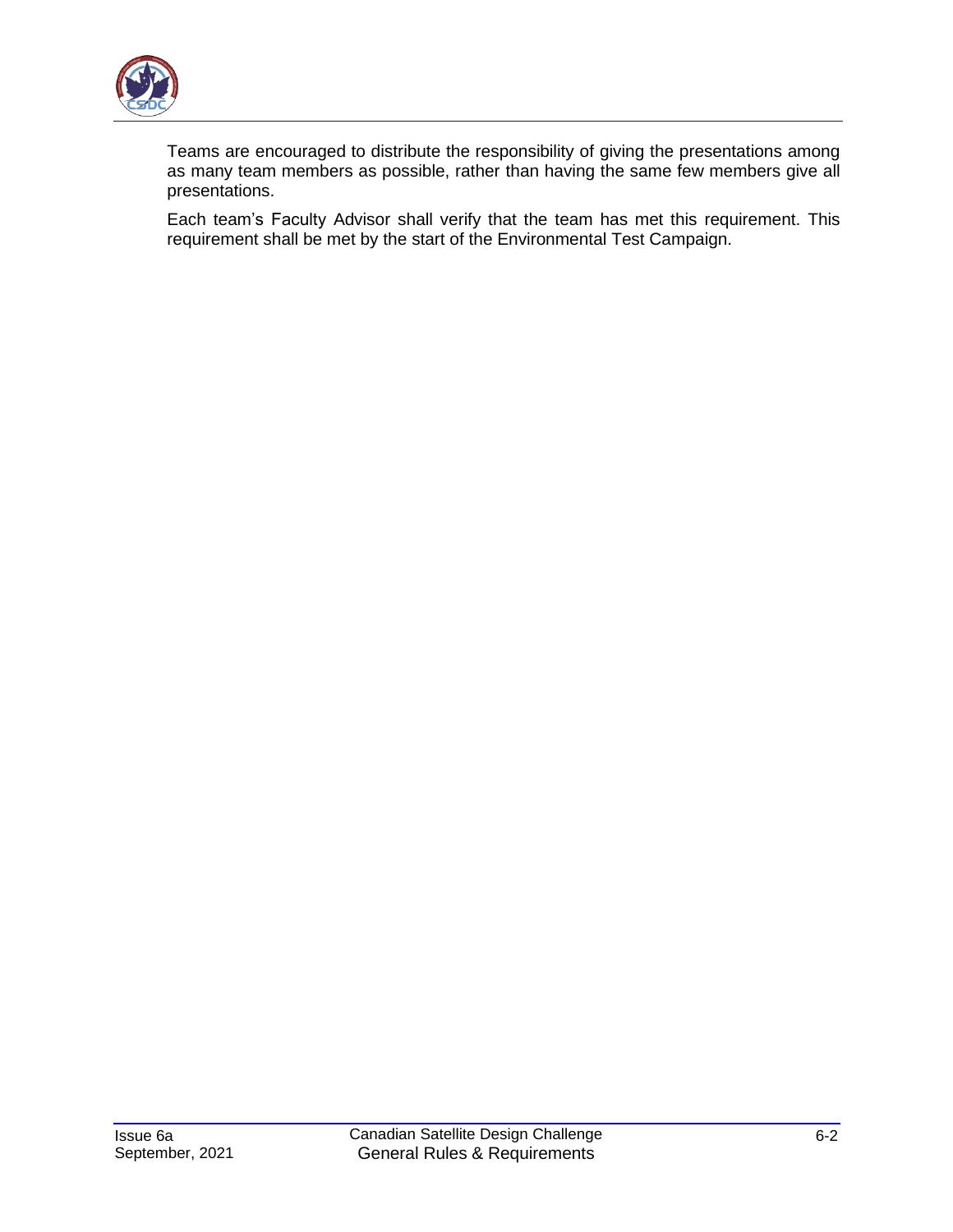

Teams are encouraged to distribute the responsibility of giving the presentations among as many team members as possible, rather than having the same few members give all presentations.

Each team's Faculty Advisor shall verify that the team has met this requirement. This requirement shall be met by the start of the Environmental Test Campaign.